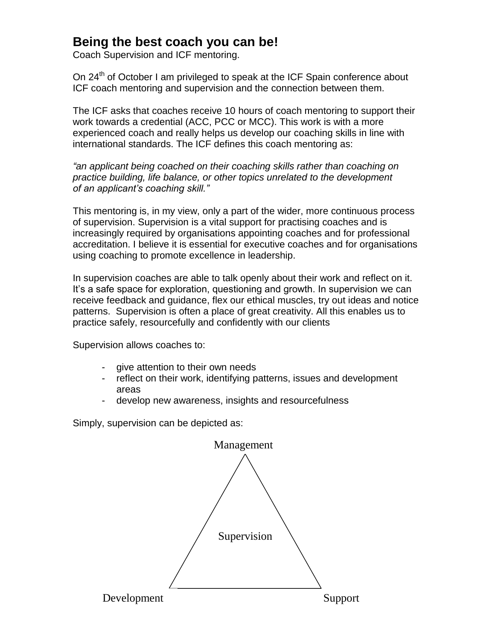## **Being the best coach you can be!**

Coach Supervision and ICF mentoring.

On 24<sup>th</sup> of October I am privileged to speak at the ICF Spain conference about ICF coach mentoring and supervision and the connection between them.

The ICF asks that coaches receive 10 hours of coach mentoring to support their work towards a credential (ACC, PCC or MCC). This work is with a more experienced coach and really helps us develop our coaching skills in line with international standards. The ICF defines this coach mentoring as:

*"an applicant being coached on their coaching skills rather than coaching on practice building, life balance, or other topics unrelated to the development of an applicant's coaching skill."* 

This mentoring is, in my view, only a part of the wider, more continuous process of supervision. Supervision is a vital support for practising coaches and is increasingly required by organisations appointing coaches and for professional accreditation. I believe it is essential for executive coaches and for organisations using coaching to promote excellence in leadership.

In supervision coaches are able to talk openly about their work and reflect on it. It's a safe space for exploration, questioning and growth. In supervision we can receive feedback and guidance, flex our ethical muscles, try out ideas and notice patterns. Supervision is often a place of great creativity. All this enables us to practice safely, resourcefully and confidently with our clients

Supervision allows coaches to:

- give attention to their own needs
- reflect on their work, identifying patterns, issues and development areas
- develop new awareness, insights and resourcefulness

Simply, supervision can be depicted as: